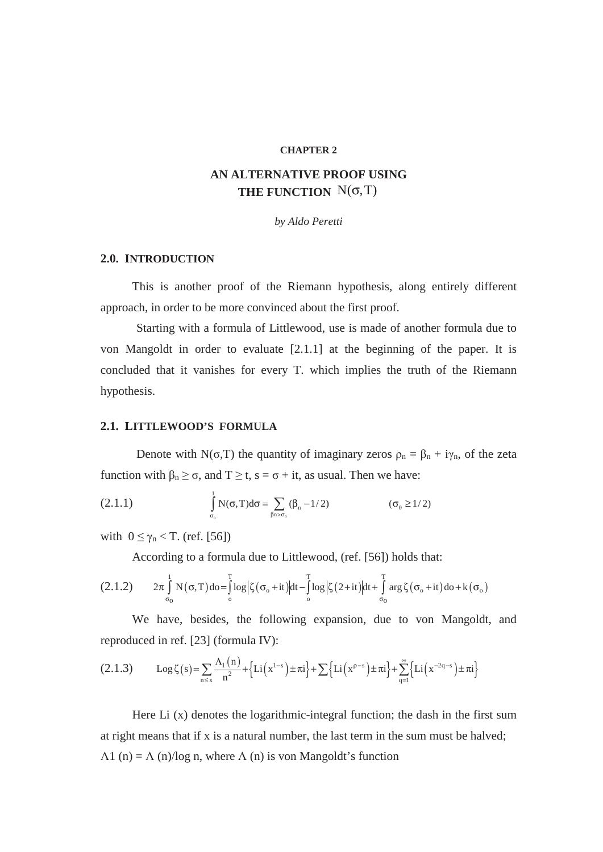#### **CHAPTER 2**

# **AN ALTERNATIVE PROOF USING THE FUNCTION**  $N(\sigma, T)$

*by Aldo Peretti* 

#### **2.0. INTRODUCTION**

This is another proof of the Riemann hypothesis, along entirely different approach, in order to be more convinced about the first proof.

Starting with a formula of Littlewood, use is made of another formula due to von Mangoldt in order to evaluate [2.1.1] at the beginning of the paper. It is concluded that it vanishes for every T. which implies the truth of the Riemann hypothesis.

## **2.1. LITTLEWOOD'S FORMULA**

Denote with N( $\sigma$ ,T) the quantity of imaginary zeros  $\rho_n = \beta_n + i\gamma_n$ , of the zeta function with  $\beta_n \ge \sigma$ , and  $T \ge t$ ,  $s = \sigma + it$ , as usual. Then we have:

(2.1.1) 
$$
\int_{\sigma_0}^{1} N(\sigma, T) d\sigma = \sum_{\beta n > \sigma_0} (\beta_n - 1/2) \qquad (\sigma_0 \ge 1/2)
$$

with  $0 \leq \gamma_n < T$ . (ref. [56])

According to a formula due to Littlewood, (ref. [56]) holds that:

$$
(2.1.2) \qquad 2\pi \int\limits_{\sigma_0}^1 N(\sigma, T) d\sigma = \int\limits_0^T \log \Bigl| \zeta(\sigma_o + it) \Bigr| dt - \int\limits_0^T \log \Bigl| \zeta(2+it) \Bigr| dt + \int\limits_{\sigma_0}^T \arg \zeta(\sigma_o + it) d\sigma + k(\sigma_o)
$$

We have, besides, the following expansion, due to von Mangoldt, and reproduced in ref. [23] (formula IV):

$$
(2.1.3) \qquad \text{Log}\,\zeta(s) = \sum_{n \leq x} \frac{\Lambda_1(n)}{n^2} + \left\{ \text{Li}\left(x^{1-s}\right) \pm \pi i \right\} + \sum \left\{ \text{Li}\left(x^{\rho-s}\right) \pm \pi i \right\} + \sum_{q=1}^{\infty} \left\{ \text{Li}\left(x^{-2q-s}\right) \pm \pi i \right\}
$$

Here Li (x) denotes the logarithmic-integral function; the dash in the first sum at right means that if x is a natural number, the last term in the sum must be halved;  $\Lambda$ 1 (n) =  $\Lambda$  (n)/log n, where  $\Lambda$  (n) is von Mangoldt's function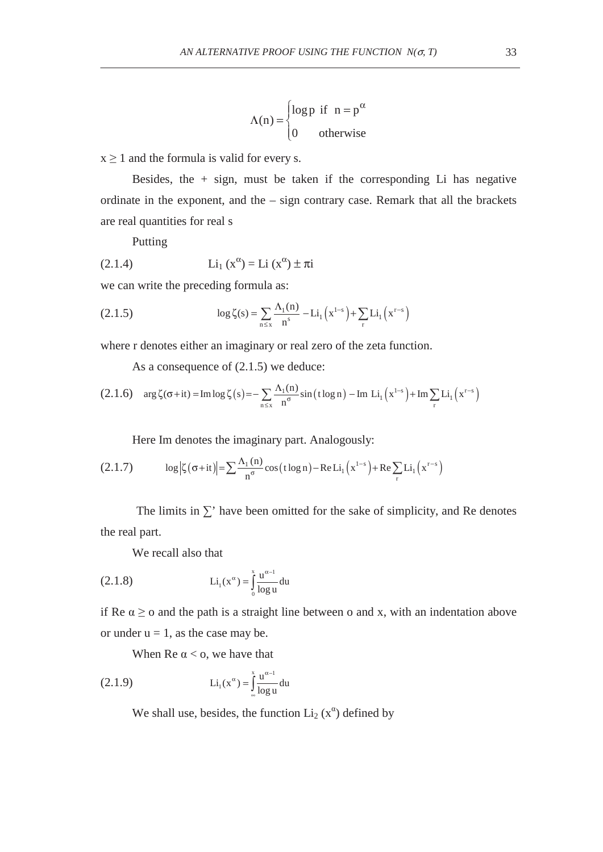$$
\Lambda(n) = \begin{cases} \log p & \text{if } n = p^{\alpha} \\ 0 & \text{otherwise} \end{cases}
$$

 $x \ge 1$  and the formula is valid for every s.

Besides, the  $+$  sign, must be taken if the corresponding Li has negative ordinate in the exponent, and the – sign contrary case. Remark that all the brackets are real quantities for real s

Putting

(2.1.4) 
$$
Li_1(x^{\alpha}) = Li (x^{\alpha}) \pm \pi i
$$

we can write the preceding formula as:

(2.1.5) 
$$
\log \zeta(s) = \sum_{n \le x} \frac{\Lambda_1(n)}{n^s} - Li_1(x^{1-s}) + \sum_{r} Li_1(x^{r-s})
$$

where r denotes either an imaginary or real zero of the zeta function.

As a consequence of (2.1.5) we deduce:

$$
(2.1.6) \quad \arg \zeta(\sigma+it) = \operatorname{Im} \log \zeta(s) = -\sum_{n \le x} \frac{\Lambda_1(n)}{n^{\sigma}} \sin \left( t \log n \right) - \operatorname{Im} \, Li_1 \left( x^{1-s} \right) + \operatorname{Im} \sum_{r} Li_1 \left( x^{r-s} \right)
$$

Here Im denotes the imaginary part. Analogously:

(2.1.7) 
$$
\log |\zeta(\sigma+it)| = \sum_{n} \frac{\Lambda_1(n)}{n^{\sigma}} \cos(t \log n) - \text{Re} \, Li_1(x^{1-s}) + \text{Re} \sum_{r} Li_1(x^{r-s})
$$

The limits in  $\Sigma'$  have been omitted for the sake of simplicity, and Re denotes the real part.

We recall also that

(2.1.8) 
$$
\text{Li}_1(x^{\alpha}) = \int_0^x \frac{u^{\alpha - 1}}{\log u} du
$$

if Re  $\alpha \geq 0$  and the path is a straight line between o and x, with an indentation above or under  $u = 1$ , as the case may be.

When Re  $\alpha$  < 0, we have that

(2.1.9) 
$$
Li_1(x^{\alpha}) = \int_{\infty}^{x} \frac{u^{\alpha-1}}{\log u} du
$$

We shall use, besides, the function  $Li_2(x^{\alpha})$  defined by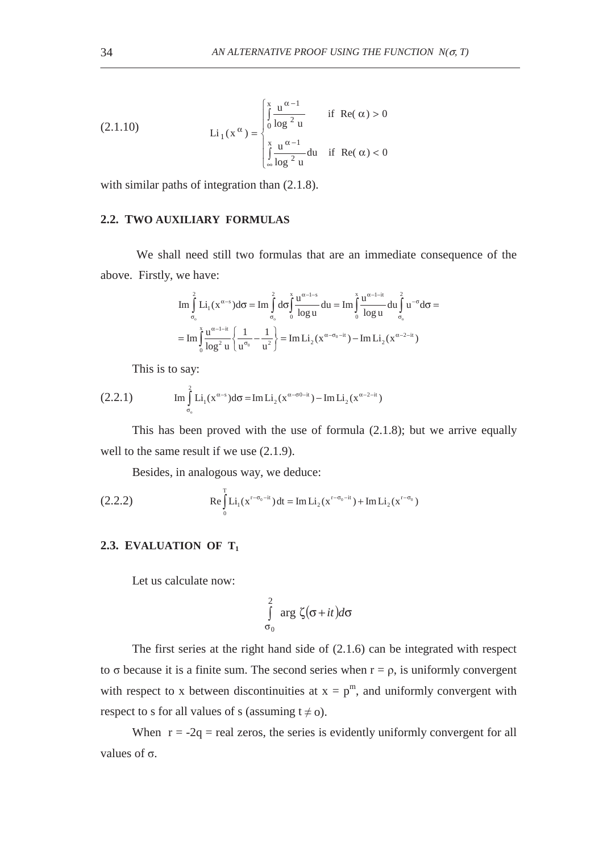(2.1.10) 
$$
\operatorname{Li}_{1}(\mathbf{x}^{\alpha}) = \begin{cases} \int_{0}^{x} \frac{\mathbf{u}^{\alpha-1}}{\log^{2} \mathbf{u}} & \text{if } \operatorname{Re}(\alpha) > 0 \\ \int_{\infty}^{x} \frac{\mathbf{u}^{\alpha-1}}{\log^{2} \mathbf{u}} \text{d}u & \text{if } \operatorname{Re}(\alpha) < 0 \end{cases}
$$

with similar paths of integration than  $(2.1.8)$ .

# **2.2. TWO AUXILIARY FORMULAS**

We shall need still two formulas that are an immediate consequence of the above. Firstly, we have:

$$
\begin{aligned} \operatorname{Im} &\int\limits_{\sigma_o}^2 Li_1(x^{\alpha-s})d\sigma &= \operatorname{Im} \int\limits_{\sigma_o}^2 d\sigma \int\limits_{0}^{x} \frac{u^{\alpha-l-s}}{\log u}du = \operatorname{Im} \int\limits_{0}^{x} \frac{u^{\alpha-l-it}}{\log u}du \int\limits_{\sigma_o}^2 u^{-\sigma}d\sigma &= \\ = \operatorname{Im} \int\limits_{0}^{x} \frac{u^{\alpha-l-it}}{\log^2 u} \left\{ \frac{1}{u^{\sigma_0}} - \frac{1}{u^2} \right\} &= \operatorname{Im} Li_2(x^{\alpha-\sigma_0-it}) - \operatorname{Im} Li_2(x^{\alpha-2-it}) \end{aligned}
$$

This is to say:

(2.2.1) 
$$
\text{Im} \int_{\sigma_0}^{2} \text{Li}_1(x^{\alpha-s}) d\sigma = \text{Im} \text{Li}_2(x^{\alpha-\sigma 0-i}) - \text{Im} \text{Li}_2(x^{\alpha-2-i})
$$

This has been proved with the use of formula (2.1.8); but we arrive equally well to the same result if we use  $(2.1.9)$ .

Besides, in analogous way, we deduce:

(2.2.2) 
$$
\operatorname{Re} \int_{0}^{T} \operatorname{Li}_{1}(x^{r-\sigma_{0}-it}) dt = \operatorname{Im} \operatorname{Li}_{2}(x^{r-\sigma_{0}-it}) + \operatorname{Im} \operatorname{Li}_{2}(x^{r-\sigma_{0}})
$$

# 2.3. EVALUATION OF T<sub>1</sub>

Let us calculate now:

$$
\int_{\sigma_0}^{2} \arg \zeta(\sigma + it) d\sigma
$$

The first series at the right hand side of (2.1.6) can be integrated with respect to  $\sigma$  because it is a finite sum. The second series when  $r = \rho$ , is uniformly convergent with respect to x between discontinuities at  $x = p^m$ , and uniformly convergent with respect to s for all values of s (assuming  $t \neq 0$ ).

When  $r = -2q$  = real zeros, the series is evidently uniformly convergent for all values of  $\sigma$ .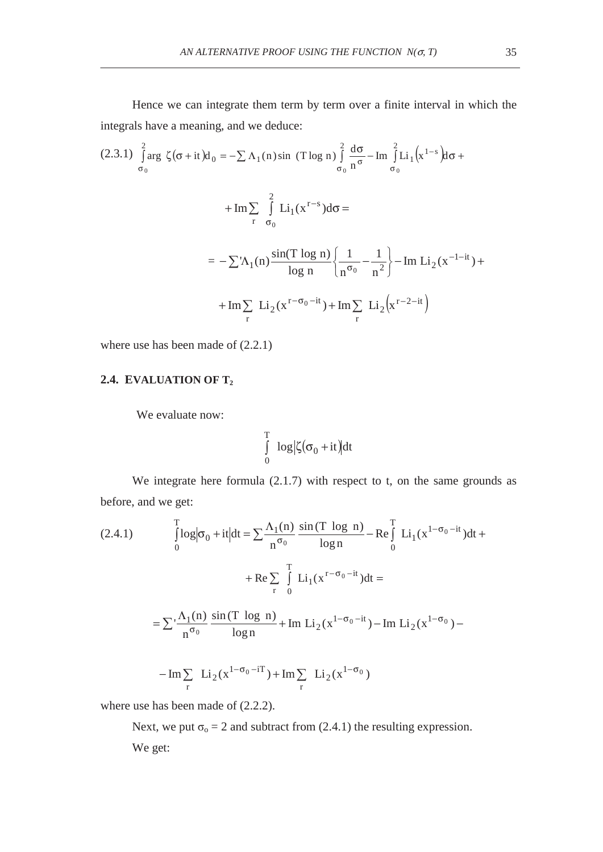Hence we can integrate them term by term over a finite interval in which the integrals have a meaning, and we deduce:

$$
(2.3.1) \int_{\sigma_0}^{2} \arg \zeta(\sigma + it) d_0 = -\sum \Lambda_1(n) \sin (T \log n) \int_{\sigma_0}^{2} \frac{d\sigma}{n^{\sigma}} - \text{Im} \int_{\sigma_0}^{2} Li_1(x^{1-s}) d\sigma +
$$
  
+
$$
\text{Im} \sum_{r} \int_{\sigma_0}^{2} Li_1(x^{r-s}) d\sigma =
$$
  
= 
$$
-\sum \Lambda_1(n) \frac{\sin(T \log n)}{\log n} \left\{ \frac{1}{n^{\sigma_0}} - \frac{1}{n^2} \right\} - \text{Im} Li_2(x^{-1-it}) +
$$
  
+
$$
\text{Im} \sum_{r} Li_2(x^{r-\sigma_0-it}) + \text{Im} \sum_{r} Li_2(x^{r-2-it})
$$

where use has been made of (2.2.1)

## **2.4. EVALUATION OF T2**

We evaluate now:

$$
\int_{0}^{T} \log |\zeta(\sigma_0 + it)| dt
$$

We integrate here formula  $(2.1.7)$  with respect to t, on the same grounds as before, and we get:

(2.4.1) 
$$
\int_{0}^{T} \log |\sigma_{0} + it| dt = \sum_{n} \frac{\Lambda_{1}(n)}{n^{\sigma_{0}}} \frac{\sin(T \log n)}{\log n} - \text{Re} \int_{0}^{T} Li_{1}(x^{1-\sigma_{0}-it}) dt +
$$

$$
+ \text{Re} \sum_{r} \int_{0}^{T} Li_{1}(x^{r-\sigma_{0}-it}) dt =
$$

$$
= \sum_{n} \frac{\Lambda_{1}(n)}{n^{\sigma_{0}}} \frac{\sin(T \log n)}{\log n} + \text{Im} Li_{2}(x^{1-\sigma_{0}-it}) - \text{Im} Li_{2}(x^{1-\sigma_{0}}) -
$$

$$
-\operatorname{Im} \sum_{r} Li_2(x^{1-\sigma_0-iT}) + \operatorname{Im} \sum_{r} Li_2(x^{1-\sigma_0})
$$

where use has been made of (2.2.2).

Next, we put  $\sigma_0 = 2$  and subtract from (2.4.1) the resulting expression. We get: